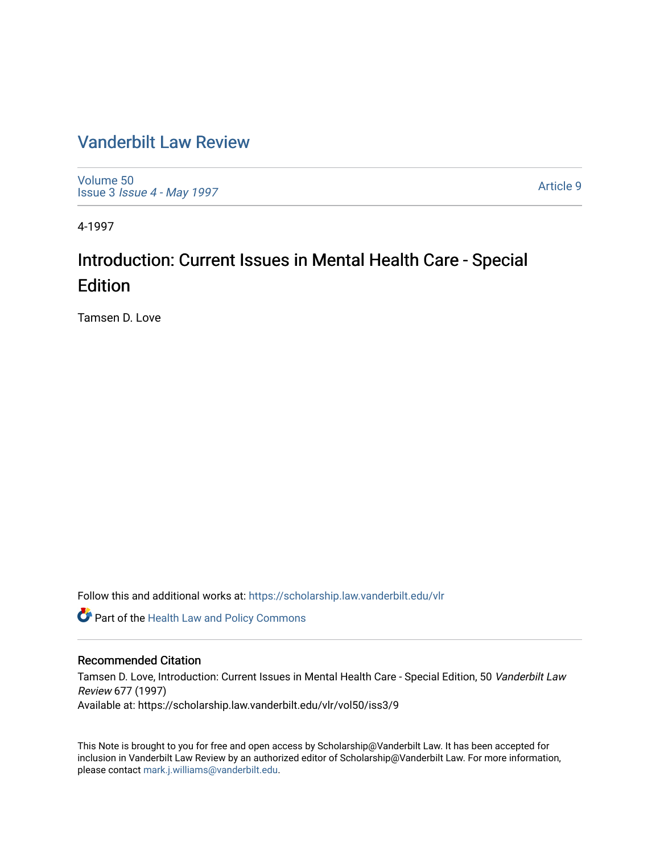## [Vanderbilt Law Review](https://scholarship.law.vanderbilt.edu/vlr)

[Volume 50](https://scholarship.law.vanderbilt.edu/vlr/vol50) Issue 3 [Issue 4 - May 1997](https://scholarship.law.vanderbilt.edu/vlr/vol50/iss3) 

[Article 9](https://scholarship.law.vanderbilt.edu/vlr/vol50/iss3/9) 

4-1997

## Introduction: Current Issues in Mental Health Care - Special Edition

Tamsen D. Love

Follow this and additional works at: [https://scholarship.law.vanderbilt.edu/vlr](https://scholarship.law.vanderbilt.edu/vlr?utm_source=scholarship.law.vanderbilt.edu%2Fvlr%2Fvol50%2Fiss3%2F9&utm_medium=PDF&utm_campaign=PDFCoverPages)

**Part of the Health Law and Policy Commons** 

### Recommended Citation

Tamsen D. Love, Introduction: Current Issues in Mental Health Care - Special Edition, 50 Vanderbilt Law Review 677 (1997) Available at: https://scholarship.law.vanderbilt.edu/vlr/vol50/iss3/9

This Note is brought to you for free and open access by Scholarship@Vanderbilt Law. It has been accepted for inclusion in Vanderbilt Law Review by an authorized editor of Scholarship@Vanderbilt Law. For more information, please contact [mark.j.williams@vanderbilt.edu.](mailto:mark.j.williams@vanderbilt.edu)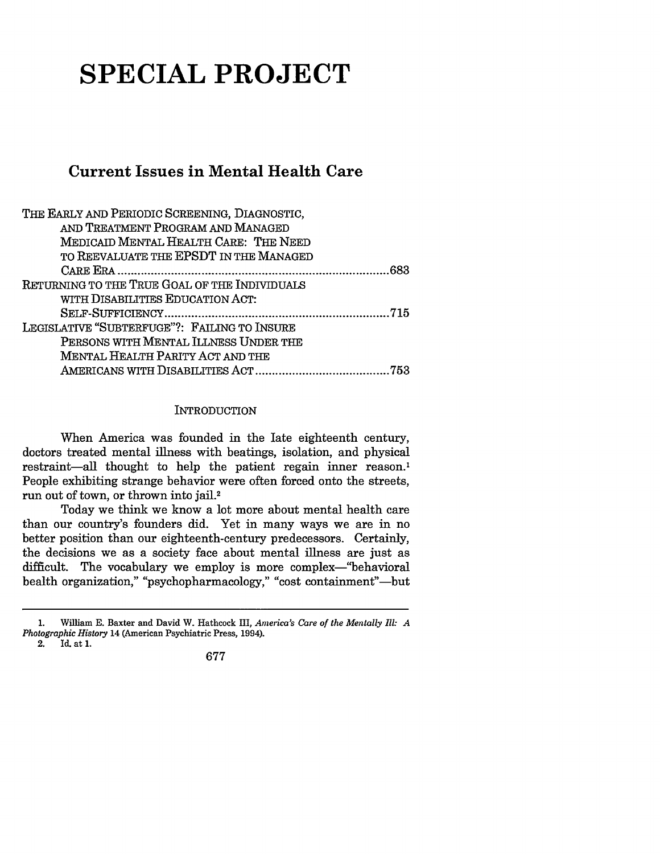# **SPECIAL PROJECT**

## **Current Issues in Mental Health Care**

| THE EARLY AND PERIODIC SCREENING, DIAGNOSTIC, |
|-----------------------------------------------|
| AND TREATMENT PROGRAM AND MANAGED             |
| MEDICAID MENTAL HEALTH CARE: THE NEED         |
| TO REEVALUATE THE EPSDT IN THE MANAGED        |
| 683                                           |
| RETURNING TO THE TRUE GOAL OF THE INDIVIDUALS |
| WITH DISABILITIES EDUCATION ACT:              |
|                                               |
| LEGISLATIVE "SUBTERFUGE"?: FAILING TO INSURE  |
| PERSONS WITH MENTAL ILLNESS UNDER THE         |
| MENTAL HEALTH PARITY ACT AND THE              |
| 753                                           |

#### **INTRODUCTION**

When America was founded in the late eighteenth century, doctors treated mental illness with beatings, isolation, and physical restraint-all thought to help the patient regain inner reason.<sup>1</sup> People exhibiting strange behavior were often forced onto the streets, run out of town, or thrown into jail.2

Today we think we know a lot more about mental health care than our country's founders did. Yet in many ways we are in no better position than our eighteenth-century predecessors. Certainly, the decisions we as a society face about mental illness are just as difficult. The vocabulary we employ is more complex-"behavioral health organization," "psychopharmacology," "cost containment"-but

<sup>1.</sup> William **E.** Baxter and David W. Hathcock III, *America's Care of the Mentally Ill: A Photographic History* 14 (American Psychiatric Press, 1994).

<sup>2.</sup> Id. at 1.

<sup>677</sup>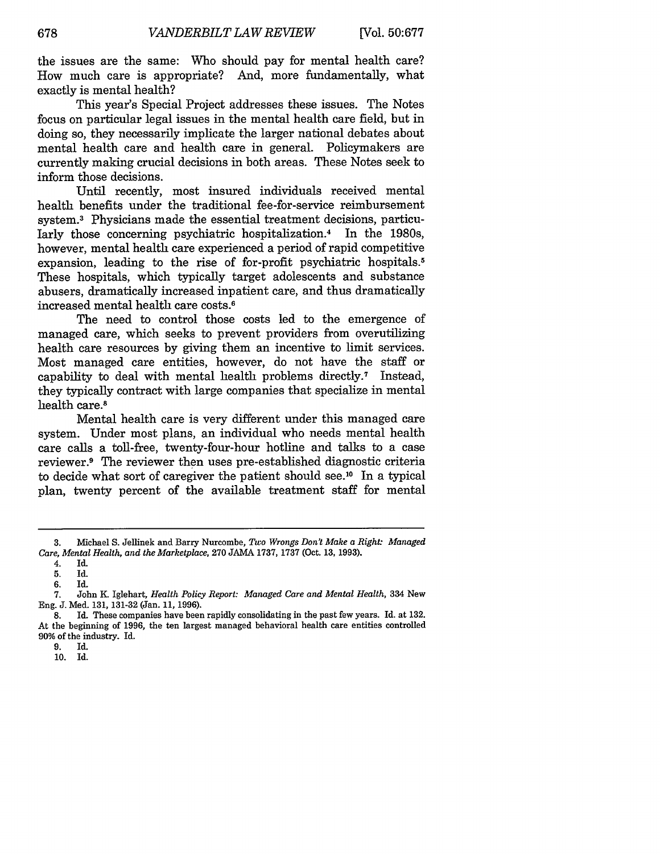the issues are the same: Who should pay for mental health care? How much care is appropriate? And, more fundamentally, what exactly is mental health?

This year's Special Project addresses these issues. The Notes focus on particular legal issues in the mental health care field, but in doing so, they necessarily implicate the larger national debates about mental health care and health care in general. Policymakers are currently making crucial decisions in both areas. These Notes seek to inform those decisions.

Until recently, most insured individuals received mental health benefits under the traditional fee-for-service reimbursement system. 3 Physicians made the essential treatment decisions, particularly those concerning psychiatric hospitalization. 4 In the 1980s, however, mental health care experienced a period of rapid competitive expansion, leading to the rise of for-profit psychiatric hospitals.<sup>5</sup> These hospitals, which typically target adolescents and substance abusers, dramatically increased inpatient care, and thus dramatically increased mental health care costs.6

The need to control those costs led to the emergence of managed care, which seeks to prevent providers from overutilizing health care resources by giving them an incentive to limit services. Most managed care entities, however, do not have the staff or capability to deal with mental health problems directly.7 Instead, they typically contract with large companies that specialize in mental health care.<sup>8</sup>

Mental health care is very different under this managed care system. Under most plans, an individual who needs mental health care calls a toll-free, twenty-four-hour hotline and talks to a case reviewer.<sup>9</sup> The reviewer then uses pre-established diagnostic criteria to decide what sort of caregiver the patient should see.<sup>10</sup> In a typical plan, twenty percent of the available treatment staff for mental

**<sup>3.</sup>** Michael **S.** Jellinek and Barry Nurcombe, *Two Wrongs Don't Make a Right: Managed Care, Mental Health, and the Marketplace,* 270 JAMA 1737, 1737 (Oct. 13, 1993).

<sup>4.</sup> Id.

<sup>5.</sup> Id.

<sup>6.</sup> Id.

<sup>7.</sup> John M. Iglehart, *Health Policy Report: Managed Care and Mental Health,* 334 New Eng. J. Med. 131, 131-32 (Jan. 11, 1996).

**<sup>8.</sup>** Id. These companies have been rapidly consolidating in the past few years. Id. at 132. At the beginning of 1996, the ten largest managed behavioral health care entities controlled **90%** of the industry. Id.

<sup>9.</sup> Id.

<sup>10.</sup> Id.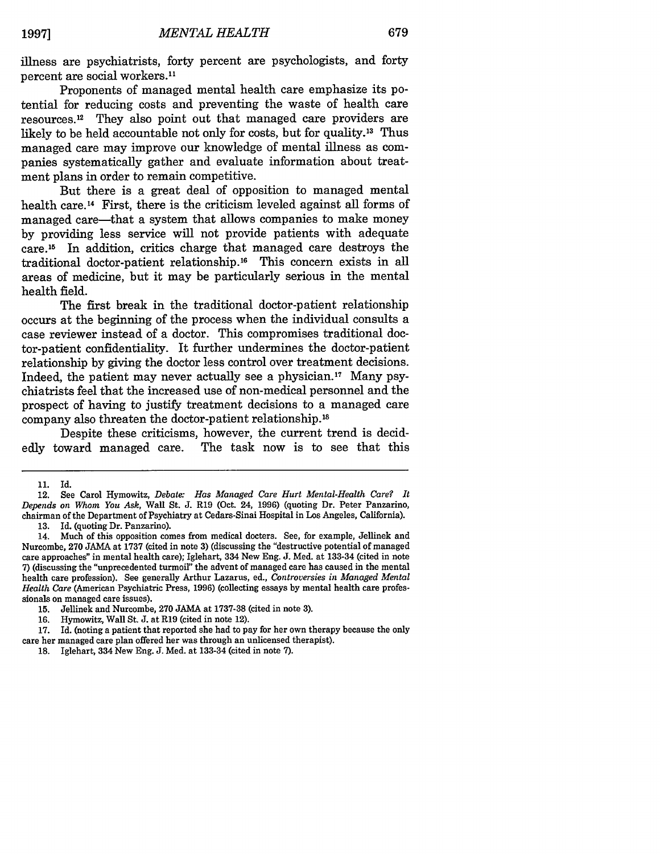illness are psychiatrists, forty percent are psychologists, and forty percent are social workers.<sup>11</sup>

Proponents of managed mental health care emphasize its potential for reducing costs and preventing the waste of health care resources. 12 They also point out that managed care providers are likely to be held accountable not only for costs, but for quality.<sup>13</sup> Thus managed care may improve our knowledge of mental illness as companies systematically gather and evaluate information about treatment plans in order to remain competitive.

But there is a great deal of opposition to managed mental health care.<sup>14</sup> First, there is the criticism leveled against all forms of managed care-that a system that allows companies to make money by providing less service will not provide patients with adequate care.15 In addition, critics charge that managed care destroys the traditional doctor-patient relationship.<sup>16</sup> This concern exists in all areas of medicine, but it may be particularly serious in the mental health field.

The first break in the traditional doctor-patient relationship occurs at the beginning of the process when the individual consults a case reviewer instead of a doctor. This compromises traditional doctor-patient confidentiality. It further undermines the doctor-patient relationship by giving the doctor less control over treatment decisions. Indeed, the patient may never actually see a physician.<sup>17</sup> Many psychiatrists feel that the increased use of non-medical personnel and the prospect of having to justify treatment decisions to a managed care company also threaten the doctor-patient relationship.'8

Despite these criticisms, however, the current trend is decidedly toward managed care. The task now is to see that this

<sup>11.</sup> Id.

<sup>12.</sup> See Carol Hymowitz, *Debate: Has Managed Care Hurt Mental-Health Care? It Depends on Whom You Ask,* Wall St. **J.** R19 (Oct. 24, 1996) (quoting Dr. Peter Panzarino, chairman of the Department of Psychiatry at Cedars-Sinai Hospital in Los Angeles, California).

<sup>13.</sup> Id. (quoting Dr. Panzarino).<br>14. Much of this opposition cor Much of this opposition comes from medical docters. See, for example, Jellinek and Nurcombe, **270** JAMA at 1737 (cited in note 3) (discussing the "destructive potential of managed care approaches" in mental health care); Iglehart, 334 New Eng. J. Med. at 133-34 (cited in note 7) (discussing the "unprecedented turmoil" the advent of managed care has caused in the mental health care profession). See generally Arthur Lazarus, ed., *Controversies in Managed Mental Health Care* (American Psychiatric Press, 1996) (collecting essays by mental health care professionals on managed care issues).

**<sup>15.</sup>** Jellinek and Nurcombe, 270 JAMA at 1737-38 (cited in note 3).

<sup>16.</sup> Hymowitz, Wall St. J. at R19 (cited in note 12).

<sup>17.</sup> Id. (noting a patient that reported she had to pay for her own therapy because the only care her managed care plan offered her was through an unlicensed therapist).

**<sup>18.</sup>** Iglehart, 334 New Eng. J. Med. at 133-34 (cited in note 7).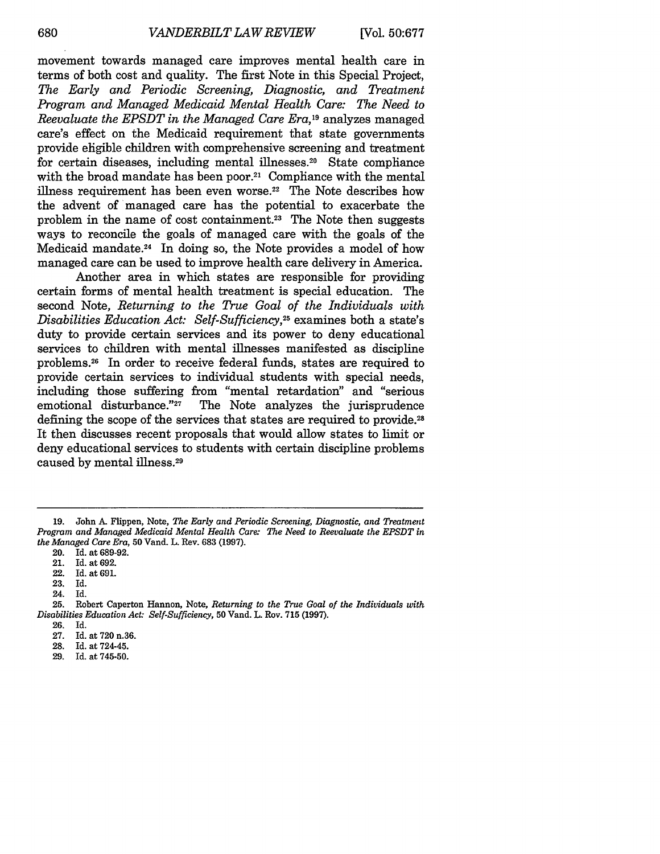movement towards managed care improves mental health care in terms of both cost and quality. The first Note in this Special Project, *The Early and Periodic Screening, Diagnostic, and Treatment Program and Managed Medicaid Mental Health Care: The Need to Reevaluate the EPSDT in the Managed Care Era,19* analyzes managed care's effect on the Medicaid requirement that state governments provide eligible children with comprehensive screening and treatment for certain diseases, including mental illnesses. 20 State compliance with the broad mandate has been poor.<sup>21</sup> Compliance with the mental illness requirement has been even worse.22 The Note describes how the advent of managed care has the potential to exacerbate the problem in the name of cost containment.23 The Note then suggests ways to reconcile the goals of managed care with the goals of the Medicaid mandate. 24 In doing so, the Note provides a model of how managed care can be used to improve health care delivery in America.

Another area in which states are responsible for providing certain forms of mental health treatment is special education. The second Note, *Returning to the True Goal of the Individuals with Disabilities Education Act: Self-Sufficiency*,<sup>25</sup> examines both a state's duty to provide certain services and its power to deny educational services to children with mental illnesses manifested as discipline problems.26 In order to receive federal funds, states are required to provide certain services to individual students with special needs, including those suffering from "mental retardation" and "serious emotional disturbance."<sup>27</sup> The Note analyzes the jurisprudence defining the scope of the services that states are required to provide. <sup>28</sup> It then discusses recent proposals that would allow states to limit or deny educational services to students with certain discipline problems caused by mental illness.29

- 28. Id. at 724-45.
- 29. Id. at **745-50.**

<sup>19.</sup> John A. Flippen, Note, *The Early and Periodic Screening, Diagnostic, and Treatment Program and Managed Medicaid Mental Health Care: The Need to Reevaluate the EPSDT in the Managed Care Era,* **50** Vand. L. Rev. 683 (1997).

<sup>20.</sup> Id. at 689-92.

<sup>21.</sup> Id. at 692.

<sup>22.</sup> Id. at 691.

Id.

<sup>24.</sup> Id.

<sup>25.</sup> Robert Caperton Hannon, Note, *Returning to the True Goal of the Individuals with Disabilities Education Act. Self-Sufficiency,* **50** Vand. L. Rev. 715 (1997).

<sup>26.</sup> Id.

<sup>27.</sup> Id. at 720 n.36.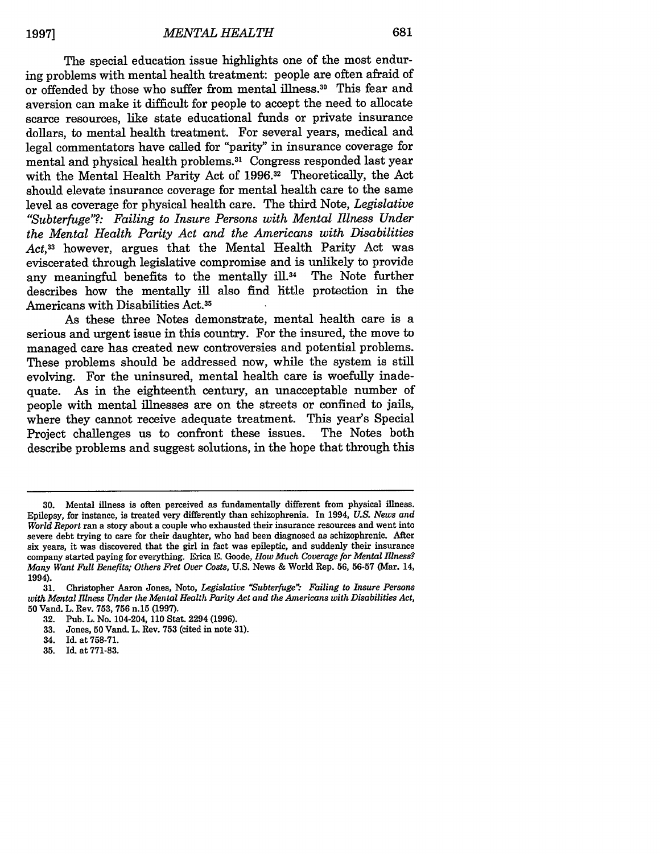The special education issue highlights one of the most enduring problems with mental health treatment: people are often afraid of or offended by those who suffer from mental illness.<sup>30</sup> This fear and aversion can make it difficult for people to accept the need to allocate scarce resources, like state educational funds or private insurance dollars, to mental health treatment. For several years, medical and legal commentators have called for "parity" in insurance coverage for mental and physical health problems. <sup>3</sup> 1 Congress responded last year with the Mental Health Parity Act of 1996.32 Theoretically, the Act should elevate insurance coverage for mental health care to the same level as coverage for physical health care. The third Note, *Legislative "Subterfuge"?.: Failing to Insure Persons with Mental Illness Under the Mental Health Parity Act and the Americans with Disabilities Act,33* however, argues that the Mental Health Parity Act was eviscerated through legislative compromise and is unlikely to provide any meaningful benefits to the mentally ill.<sup>34</sup> The Note further describes how the mentally ill also find little protection in the Americans with Disabilities Act.35

As these three Notes demonstrate, mental health care is a serious and urgent issue in this country. For the insured, the move to managed care has created new controversies and potential problems. These problems should be addressed now, while the system is still evolving. For the uninsured, mental health care is woefully inadequate. As in the eighteenth century, an unacceptable number of people with mental illnesses are on the streets or confined to jails, where they cannot receive adequate treatment. This year's Special<br>Project challenges us to confront these issues. The Notes both Project challenges us to confront these issues. describe problems and suggest solutions, in the hope that through this

**<sup>30.</sup>** Mental illness is often perceived as fundamentally different from physical illness. Epilepsy, for instance, is treated very differently than schizophrenia. In 1994, *U.S. News and World Report* ran a story about a couple who exhausted their insurance resources and went into severe debt trying to care for their daughter, who had been diagnosed as schizophrenic. After six years, it was discovered that the girl in fact was epileptic, and suddenly their insurance company started paying for everything. Erica **E.** Goode, *How Much Coverage for Mental Illness? Many Want Full Benefits; Others Fret Over Costs,* **U.S.** News & World Rep. **56, 56-57** (Mar. 14, 1994).

**<sup>31.</sup>** Christopher Aaron Jones, Note, *Legislative "Subterfuge'" Failing to Insure Persons with Mental Illness Under the Mental Health Parity Act and the Americans with Disabilities Act,* **50** Vand. L. Rev. **753, 756 n.15 (1997).**

**<sup>32.</sup>** Pub. L. No. 104-204, **110** Stat. 2294 **(1996).**

**<sup>33.</sup>** Jones, **50** Vand. L. Rev. **753** (cited in note **31).**

<sup>34.</sup> Id. at **758-71.**

**<sup>35.</sup>** Id. at **771-83.**